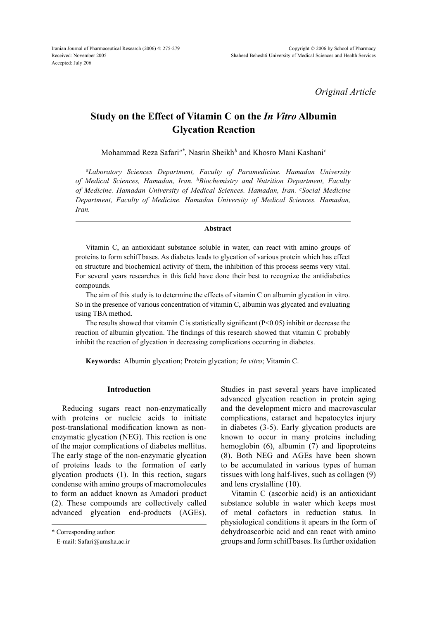*Original Article*

# **Study on the Effect of Vitamin C on the** *In Vitro* **Albumin Glycation Reaction**

Mohammad Reza Safari*a\**, Nasrin Sheikh*<sup>b</sup>* and Khosro Mani Kashani*<sup>c</sup>*

*aLaboratory Sciences Department, Faculty of Paramedicine. Hamadan University of Medical Sciences, Hamadan, Iran. bBiochemistry and Nutrition Department, Faculty of Medicine. Hamadan University of Medical Sciences. Hamadan, Iran. cSocial Medicine Department, Faculty of Medicine. Hamadan University of Medical Sciences. Hamadan, Iran.*

#### **Abstract**

Vitamin C, an antioxidant substance soluble in water, can react with amino groups of proteins to form schiff bases. As diabetes leads to glycation of various protein which has effect on structure and biochemical activity of them, the inhibition of this process seems very vital. For several years researches in this field have done their best to recognize the antidiabetics compounds.

The aim of this study is to determine the effects of vitamin C on albumin glycation in vitro. So in the presence of various concentration of vitamin C, albumin was glycated and evaluating using TBA method.

The results showed that vitamin C is statistically significant  $(P<0.05)$  inhibit or decrease the reaction of albumin glycation. The findings of this research showed that vitamin C probably inhibit the reaction of glycation in decreasing complications occurring in diabetes.

**Keywords:** Albumin glycation; Protein glycation; *In vitro*; Vitamin C.

### **Introduction**

Reducing sugars react non-enzymatically with proteins or nucleic acids to initiate post-translational modification known as nonenzymatic glycation (NEG). This rection is one of the major complications of diabetes mellitus. The early stage of the non-enzymatic glycation of proteins leads to the formation of early glycation products (1). In this rection, sugars condense with amino groups of macromolecules to form an adduct known as Amadori product (2). These compounds are collectively called advanced glycation end-products (AGEs).

Studies in past several years have implicated advanced glycation reaction in protein aging and the development micro and macrovascular complications, cataract and hepatocytes injury in diabetes (3-5). Early glycation products are known to occur in many proteins including hemoglobin (6), albumin (7) and lipoproteins (8). Both NEG and AGEs have been shown to be accumulated in various types of human tissues with long half-lives, such as collagen (9) and lens crystalline (10).

Vitamin C (ascorbic acid) is an antioxidant substance soluble in water which keeps most of metal cofactors in reduction status. In physiological conditions it apears in the form of dehydroascorbic acid and can react with amino groups and form schiff bases. Its further oxidation

<sup>\*</sup> Corresponding author:

E-mail: Safari@umsha.ac.ir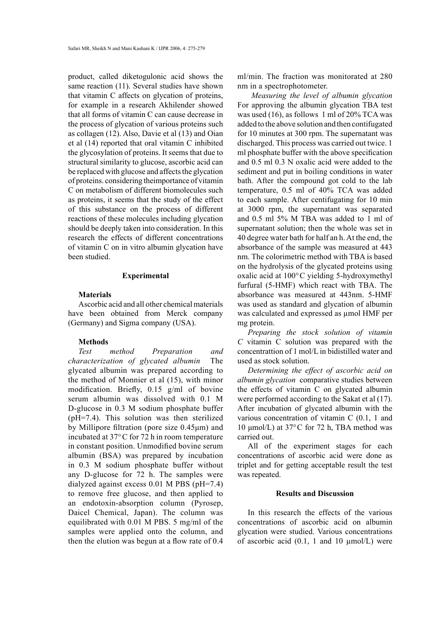product, called diketogulonic acid shows the same reaction (11). Several studies have shown that vitamin C affects on glycation of proteins, for example in a research Akhilender showed that all forms of vitamin C can cause decrease in the process of glycation of various proteins such as collagen (12). Also, Davie et al (13) and Oian et al (14) reported that oral vitamin C inhibited the glycosylation of proteins. It seems that due to structural similarity to glucose, ascorbic acid can be replaced with glucose and affects the glycation of proteins. considering theimportance of vitamin C on metabolism of different biomolecules such as proteins, it seems that the study of the effect of this substance on the process of different reactions of these molecules including glycation should be deeply taken into consideration. In this research the effects of different concentrations of vitamin C on in vitro albumin glycation have been studied.

## **Experimental**

#### **Materials**

Ascorbic acid and all other chemical materials have been obtained from Merck company (Germany) and Sigma company (USA).

# **Methods**

*Test method Preparation and characterization of glycated albumin* The glycated albumin was prepared according to the method of Monnier et al (15), with minor modification. Briefly, 0.15 g/ml of bovine serum albumin was dissolved with 0.1 M D-glucose in 0.3 M sodium phosphate buffer (pH=7.4). This solution was then sterilized by Millipore filtration (pore size 0.45μm) and incubated at 37°C for 72 h in room temperature in constant position. Unmodified bovine serum albumin (BSA) was prepared by incubation in 0.3 M sodium phosphate buffer without any D-glucose for 72 h. The samples were dialyzed against excess 0.01 M PBS (pH=7.4) to remove free glucose, and then applied to an endotoxin-absorption column (Pyrosep, Daicel Chemical, Japan). The column was equilibrated with 0.01 M PBS. 5 mg/ml of the samples were applied onto the column, and then the elution was begun at a flow rate of 0.4 ml/min. The fraction was monitorated at 280 nm in a spectrophotometer.

 *Measuring the level of albumin glycation*  For approving the albumin glycation TBA test was used (16), as follows 1 ml of 20% TCA was added to the above solution and then contifugated for 10 minutes at 300 rpm. The supernatant was discharged. This process was carried out twice. 1 ml phosphate buffer with the above specification and 0.5 ml 0.3 N oxalic acid were added to the sediment and put in boiling conditions in water bath. After the compound got cold to the lab temperature, 0.5 ml of 40% TCA was added to each sample. After centifugating for 10 min at 3000 rpm, the supernatant was separated and 0.5 ml 5% M TBA was added to 1 ml of supernatant solution; then the whole was set in 40 degree water bath for half an h. At the end, the absorbance of the sample was measured at 443 nm. The colorimetric method with TBA is based on the hydrolysis of the glycated proteins using oxalic acid at 100°C yielding 5-hydroxymethyl furfural (5-HMF) which react with TBA. The absorbance was measured at 443nm. 5-HMF was used as standard and glycation of albumin was calculated and expressed as  $\mu$ mol HMF per mg protein.

*Preparing the stock solution of vitamin C* vitamin C solution was prepared with the concentrattion of 1 mol/L in bidistilled water and used as stock solution.

*Determining the effect of ascorbic acid on albumin glycation* comparative studies between the effects of vitamin C on glycated albumin were performed according to the Sakat et al (17). After incubation of glycated albumin with the various concentration of vitamin C (0.1, 1 and 10 μmol/L) at 37°C for 72 h, TBA method was carried out.

All of the experiment stages for each concentrations of ascorbic acid were done as triplet and for getting acceptable result the test was repeated.

#### **Results and Discussion**

In this research the effects of the various concentrations of ascorbic acid on albumin glycation were studied. Various concentrations of ascorbic acid  $(0.1, 1 \text{ and } 10 \text{ } \mu \text{mol/L})$  were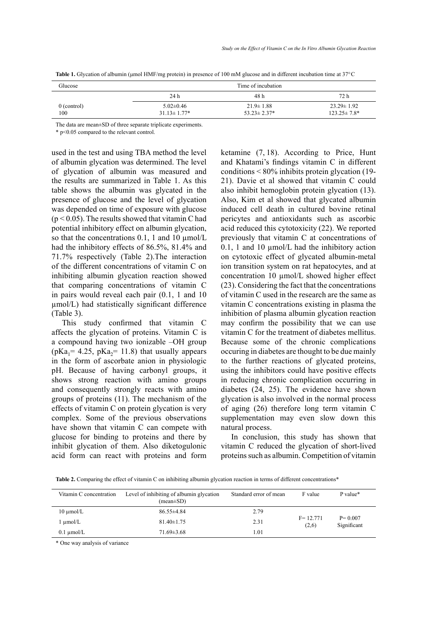| Glucose              | Time of incubation                    |                                       |                                        |  |
|----------------------|---------------------------------------|---------------------------------------|----------------------------------------|--|
|                      | 24 h                                  | 48 h                                  | 72 h                                   |  |
| $0$ (control)<br>100 | $5.02 \pm 0.46$<br>$31.13 \pm 1.77$ * | $21.9 \pm 1.88$<br>$53.23 \pm 2.37^*$ | $23.29 \pm 1.92$<br>$123.25 \pm 7.8^*$ |  |
|                      |                                       |                                       |                                        |  |

**Table 1.** Glycation of albumin (μmol HMF/mg protein) in presence of 100 mM glucose and in different incubation time at 37°C

The data are mean±SD of three separate triplicate experiments.

\* p<0.05 compared to the relevant control.

used in the test and using TBA method the level of albumin glycation was determined. The level of glycation of albumin was measured and the results are summarized in Table 1. As this table shows the albumin was glycated in the presence of glucose and the level of glycation was depended on time of exposure with glucose  $(p < 0.05)$ . The results showed that vitamin C had potential inhibitory effect on albumin glycation, so that the concentrations 0.1, 1 and 10  $\mu$ mol/L had the inhibitory effects of 86.5%, 81.4% and 71.7% respectively (Table 2).The interaction of the different concentrations of vitamin C on inhibiting albumin glycation reaction showed that comparing concentrations of vitamin C in pairs would reveal each pair (0.1, 1 and 10 µmol/L) had statistically significant difference (Table 3).

This study confirmed that vitamin C affects the glycation of proteins. Vitamin C is a compound having two ionizable –OH group ( $pKa_1 = 4.25$ ,  $pKa_2 = 11.8$ ) that usually appears in the form of ascorbate anion in physiologic pH. Because of having carbonyl groups, it shows strong reaction with amino groups and consequently strongly reacts with amino groups of proteins (11). The mechanism of the effects of vitamin C on protein glycation is very complex. Some of the previous observations have shown that vitamin C can compete with glucose for binding to proteins and there by inhibit glycation of them. Also diketogulonic acid form can react with proteins and form ketamine (7, 18). According to Price, Hunt and Khatami's findings vitamin C in different conditions < 80% inhibits protein glycation (19- 21). Davie et al showed that vitamin C could also inhibit hemoglobin protein glycation (13). Also, Kim et al showed that glycated albumin induced cell death in cultured bovine retinal pericytes and antioxidants such as ascorbic acid reduced this cytotoxicity (22). We reported previously that vitamin C at concentrations of  $0.1$ , 1 and 10  $\mu$ mol/L had the inhibitory action on cytotoxic effect of glycated albumin-metal ion transition system on rat hepatocytes, and at concentration 10 µmol/L showed higher effect (23). Considering the fact that the concentrations of vitamin C used in the research are the same as vitamin C concentrations existing in plasma the inhibition of plasma albumin glycation reaction may confirm the possibility that we can use vitamin C for the treatment of diabetes mellitus. Because some of the chronic complications occuring in diabetes are thought to be due mainly to the further reactions of glycated proteins, using the inhibitors could have positive effects in reducing chronic complication occurring in diabetes (24, 25). The evidence have shown glycation is also involved in the normal process of aging (26) therefore long term vitamin C supplementation may even slow down this natural process.

In conclusion, this study has shown that vitamin C reduced the glycation of short-lived proteins such as albumin. Competition of vitamin

Table 2. Comparing the effect of vitamin C on inhibiting albumin glycation reaction in terms of different concentrations<sup>\*</sup>

| Vitamin C concentration | Level of inhibiting of albumin glycation<br>$(mean \pm SD)$ | Standard error of mean | F value               | P value*                   |
|-------------------------|-------------------------------------------------------------|------------------------|-----------------------|----------------------------|
| $10 \mu$ mol/L          | $86.55 \pm 4.84$                                            | 2.79                   | $F = 12.771$<br>(2,6) | $P = 0.007$<br>Significant |
| l umol/L                | $81.40 \pm 1.75$                                            | 2.31                   |                       |                            |
| $0.1 \text{ mmol/L}$    | $71.69 \pm 3.68$                                            | 1.01                   |                       |                            |

\* One way analysis of variance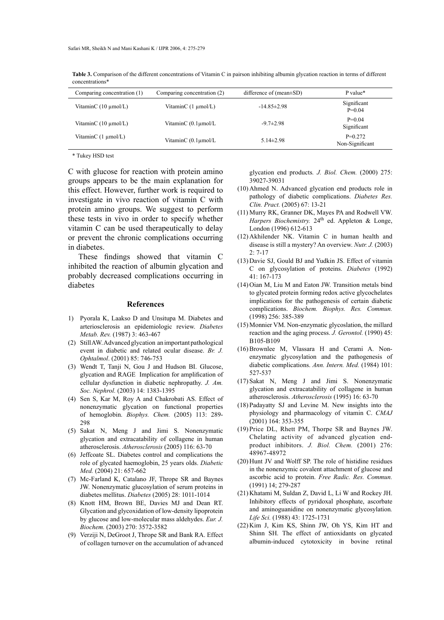| Comparing concentration (1)      | Comparing concentration (2)     | difference of $(mean \pm SD)$ | P value*                     |
|----------------------------------|---------------------------------|-------------------------------|------------------------------|
| VitaminC $(10 \mu \text{mol/L})$ | VitaminC $(1 \mu \text{mol/L})$ | $-14.85\pm2.98$               | Significant<br>$P=0.04$      |
| VitaminC $(10 \mu \text{mol/L})$ | VitaminC (0.1umol/L)            | $-9.7 \pm 2.98$               | $P=0.04$<br>Significant      |
| VitaminC $(1 \mu \text{mol/L})$  | VitaminC $(0.1 \mu$ mol/L       | $5.14 \pm 2.98$               | $P=0.272$<br>Non-Significant |

**Table 3.** Comparison of the different concentrations of Vitamin C in pairson inhibiting albumin glycation reaction in terms of different concentrations\*

\* Tukey HSD test

C with glucose for reaction with protein amino groups appears to be the main explanation for this effect. However, further work is required to investigate in vivo reaction of vitamin C with protein amino groups. We suggest to perform these tests in vivo in order to specify whether vitamin C can be used therapeutically to delay or prevent the chronic complications occurring in diabetes.

These findings showed that vitamin C inhibited the reaction of albumin glycation and probably decreased complications occurring in diabetes

#### **References**

- Pyorala K, Laakso D and Unsitupa M. Diabetes and 1) arteriosclerosis an epidemiologic review. *Diabetes Metab. Rev.* (1987) 3: 463-467
- (2) Still AW. Advanced glycation an important pathological event in diabetic and related ocular disease. *Br. J. Ophtalmol*. (2001) 85: 746-753
- Wendt T, Tanji N, Gou J and Hudson BI. Glucose, (3) glycation and RAGE Implication for amplification of cellular dysfunction in diabetic nephropathy. *J. Am. Soc. Nephrol.* (2003) 14: 1383-1395
- (4) Sen S, Kar M, Roy A and Chakrobati AS. Effect of nonenzymatic glycation on functional properties of hemoglobin. *Biophys. Chem.* (2005) 113: 289- 298
- (5) Sakat N, Meng J and Jimi S. Nonenzymatic glycation and extracatability of collagene in human atherosclerosis. *Atherosclerosis* (2005) 116: 63-70
- (6) Jeffcoate SL. Diabetes control and complications the role of glycated haemoglobin, 25 years olds. *Diabetic Med.* (2004) 21: 657-662
- Mc-Farland K, Catalano JF, Thrope SR and Baynes (7) JW. Nonenzymatic glucosylation of serum proteins in diabetes mellitus. *Diabetes* (2005) 28: 1011-1014
- (8) Knott HM, Brown BE, Davies MJ and Dean RT. Glycation and glycoxidation of low-density lipoprotein by glucose and low-molecular mass aldehydes. *Eur. J. Biochem.* (2003) 270: 3572-3582
- (9) Verziji N, DeGroot J, Thrope SR and Bank RA. Effect of collagen turnover on the accumulation of advanced

glycation end products*. J. Biol. Chem.* (2000) 275: 39027-39031

- $(10)$  Ahmed N. Advanced glycation end products role in pathology of diabetic complications. *Diabetes Res. Clin. Pract.* (2005) 67: 13-21
- Murry RK, Granner DK, Mayes PA and Rodwell VW. (11) Harpers Biochemistry. 24<sup>th</sup> ed. Appleton & Longe, London (1996) 612-613
- $(12)$  Akhilender NK. Vitamin C in human health and disease is still a mystery? An overview. *Nutr. J.* (2003) 2: 7-17
- (13) Davie SJ, Gould BJ and Yudkin JS. Effect of vitamin C on glycosylation of proteins. *Diabetes* (1992) 41: 167-173
- $(14)$  Oian M, Liu M and Eaton JW. Transition metals bind to glycated protein forming redox active glycochelates implications for the pathogenesis of certain diabetic complications. *Biochem. Biophys. Res. Commun.* (1998) 256: 385-389
- (15) Monnier VM. Non-enzymatic glycoslation, the millard reaction and the aging process. *J. Gerontol.* (1990) 45: B105-B109
- (16) Brownlee M, Vlassara H and Cerami A. Nonenzymatic glycosylation and the pathogenesis of diabetic complications. *Ann. Intern. Med.* (1984) 101: 527-537
- $(17)$  Sakat N, Meng J and Jimi S. Nonenzymatic glycation and extracatability of collagene in human atherosclerosis. *Atherosclerosis* (1995) 16: 63-70
- $(18)$  Padayatty SJ and Levine M. New insights into the physiology and pharmacology of vitamin C. *CMAJ*  (2001) 164: 353-355
- $(19)$  Price DL, Rhett PM, Thorpe SR and Baynes JW. Chelating activity of advanced glycation endproduct inhibitors. *J. Biol. Chem.* (2001) 276: 48967-48972
- $(20)$  Hunt JV and Wolff SP. The role of histidine residues in the nonenzymic covalent attachment of glucose and ascorbic acid to protein. *Free Radic. Res. Commun.*  (1991) 14; 279-287
- $(21)$  Khatami M, Suldan Z, David L, Li W and Rockey JH. Inhibitory effects of pyridoxal phosphate, ascorbate and aminoguanidine on nonenzymatic glycosylation*. Life Sci.* (1988) 43: 1725-1731
- $(22)$  Kim J, Kim KS, Shinn JW, Oh YS, Kim HT and Shinn SH. The effect of antioxidants on glycated albumin-induced cytotoxicity in bovine retinal